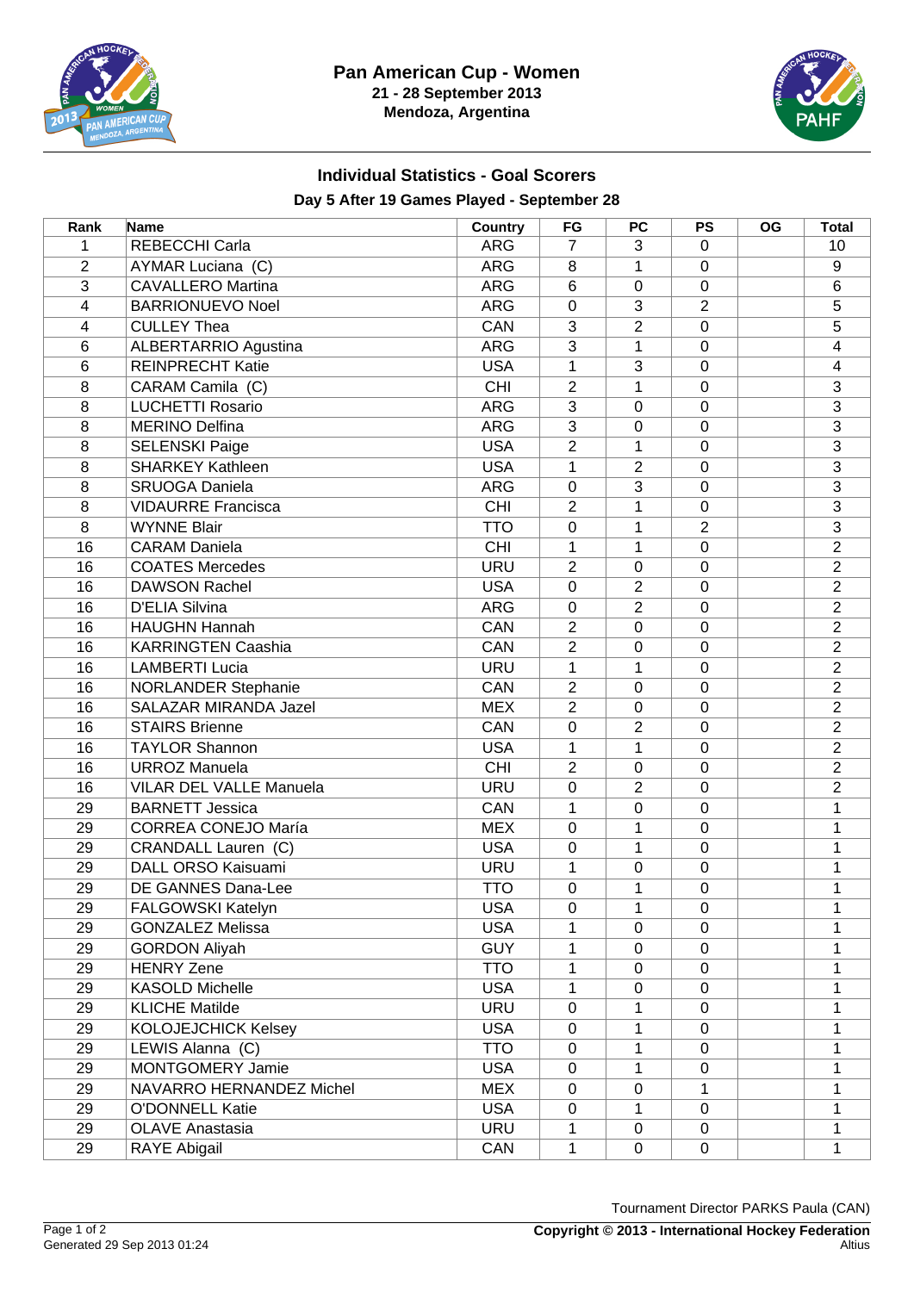



## **Individual Statistics - Goal Scorers Day 5 After 19 Games Played - September 28**

| Rank           | Name                           | <b>Country</b> | FG             | PC             | <b>PS</b>        | <b>OG</b> | <b>Total</b>   |
|----------------|--------------------------------|----------------|----------------|----------------|------------------|-----------|----------------|
| 1              | REBECCHI Carla                 | <b>ARG</b>     | $\overline{7}$ | 3              | $\mathbf 0$      |           | 10             |
| $\overline{2}$ | AYMAR Luciana (C)              | <b>ARG</b>     | 8              | 1              | 0                |           | 9              |
| 3              | <b>CAVALLERO Martina</b>       | <b>ARG</b>     | 6              | 0              | $\mathbf 0$      |           | 6              |
| 4              | <b>BARRIONUEVO Noel</b>        | <b>ARG</b>     | 0              | 3              | $\overline{2}$   |           | 5              |
| 4              | <b>CULLEY Thea</b>             | CAN            | 3              | $\overline{2}$ | $\mathbf 0$      |           | 5              |
| 6              | <b>ALBERTARRIO Agustina</b>    | <b>ARG</b>     | 3              | 1              | $\mathbf 0$      |           | 4              |
| 6              | <b>REINPRECHT Katie</b>        | <b>USA</b>     | 1              | $\overline{3}$ | $\mathbf 0$      |           | 4              |
| 8              | CARAM Camila (C)               | CHI            | $\overline{2}$ | 1              | $\mathbf 0$      |           | $\overline{3}$ |
| 8              | <b>LUCHETTI Rosario</b>        | <b>ARG</b>     | $\overline{3}$ | 0              | $\mathbf 0$      |           | $\overline{3}$ |
| 8              | <b>MERINO Delfina</b>          | <b>ARG</b>     | $\overline{3}$ | 0              | 0                |           | $\overline{3}$ |
| 8              | <b>SELENSKI Paige</b>          | <b>USA</b>     | $\overline{2}$ | 1              | $\mathbf 0$      |           | $\overline{3}$ |
| 8              | <b>SHARKEY Kathleen</b>        | <b>USA</b>     | $\mathbf 1$    | $\overline{2}$ | $\mathbf 0$      |           | 3              |
| 8              | <b>SRUOGA Daniela</b>          | <b>ARG</b>     | 0              | 3              | $\mathbf 0$      |           | 3              |
| 8              | <b>VIDAURRE Francisca</b>      | <b>CHI</b>     | $\overline{2}$ | 1              | 0                |           | $\overline{3}$ |
| $\overline{8}$ | <b>WYNNE Blair</b>             | <b>TTO</b>     | 0              | 1              | $\overline{c}$   |           | $\overline{3}$ |
| 16             | <b>CARAM Daniela</b>           | CHI            | 1              | $\mathbf{1}$   | $\mathbf 0$      |           | $\overline{2}$ |
| 16             | <b>COATES Mercedes</b>         | <b>URU</b>     | $\overline{2}$ | $\mathbf 0$    | $\mathbf 0$      |           | $\overline{2}$ |
| 16             | <b>DAWSON Rachel</b>           | <b>USA</b>     | 0              | $\overline{2}$ | $\mathbf 0$      |           | $\overline{2}$ |
| 16             | <b>D'ELIA Silvina</b>          | <b>ARG</b>     | 0              | $\overline{2}$ | $\mathbf 0$      |           | $\overline{2}$ |
| 16             | <b>HAUGHN Hannah</b>           | CAN            | $\overline{2}$ | 0              | $\mathbf 0$      |           | $\overline{2}$ |
| 16             | <b>KARRINGTEN Caashia</b>      | CAN            | $\overline{2}$ | 0              | 0                |           | $\overline{2}$ |
| 16             | <b>LAMBERTI Lucia</b>          | <b>URU</b>     | 1              | 1              | $\mathbf 0$      |           | $\overline{2}$ |
| 16             | <b>NORLANDER Stephanie</b>     | CAN            | $\overline{2}$ | 0              | $\mathbf 0$      |           | $\overline{2}$ |
| 16             | SALAZAR MIRANDA Jazel          | <b>MEX</b>     | $\overline{2}$ | 0              | 0                |           | $\overline{2}$ |
| 16             | <b>STAIRS Brienne</b>          | CAN            | 0              | $\overline{2}$ | $\mathbf 0$      |           | $\overline{2}$ |
| 16             | <b>TAYLOR Shannon</b>          | <b>USA</b>     | 1              | 1              | $\boldsymbol{0}$ |           | $\overline{2}$ |
| 16             | <b>URROZ Manuela</b>           | <b>CHI</b>     | $\overline{2}$ | 0              | 0                |           | $\overline{2}$ |
| 16             | <b>VILAR DEL VALLE Manuela</b> | <b>URU</b>     | 0              | $\overline{2}$ | $\mathbf 0$      |           | $\overline{2}$ |
| 29             | <b>BARNETT Jessica</b>         | CAN            | 1              | 0              | $\mathbf 0$      |           | 1              |
| 29             | <b>CORREA CONEJO María</b>     | <b>MEX</b>     | 0              | 1              | $\mathbf 0$      |           | 1              |
| 29             | CRANDALL Lauren (C)            | <b>USA</b>     | 0              | 1              | $\mathbf 0$      |           | $\mathbf{1}$   |
| 29             | DALL ORSO Kaisuami             | <b>URU</b>     | 1              | 0              | $\mathbf 0$      |           | 1              |
| 29             | DE GANNES Dana-Lee             | <b>TTO</b>     | 0              | 1              | $\mathbf 0$      |           | 1              |
| 29             | FALGOWSKI Katelyn              | <b>USA</b>     | $\pmb{0}$      | $\mathbf 1$    | $\pmb{0}$        |           | 1              |
| 29             | <b>GONZALEZ Melissa</b>        | <b>USA</b>     | 1              | $\mathbf 0$    | 0                |           | 1              |
| 29             | <b>GORDON Aliyah</b>           | <b>GUY</b>     | 1              | $\pmb{0}$      | $\boldsymbol{0}$ |           | 1              |
| 29             | <b>HENRY Zene</b>              | <b>TTO</b>     | 1              | $\mathbf 0$    | 0                |           | 1              |
| 29             | <b>KASOLD Michelle</b>         | <b>USA</b>     | 1              | 0              | 0                |           | 1              |
| 29             | <b>KLICHE Matilde</b>          | <b>URU</b>     | 0              | 1              | 0                |           | 1              |
| 29             | <b>KOLOJEJCHICK Kelsey</b>     | <b>USA</b>     | $\mathbf 0$    | 1              | $\mathbf 0$      |           | 1              |
| 29             | LEWIS Alanna (C)               | <b>TTO</b>     | $\mathbf 0$    | 1              | $\mathbf 0$      |           | 1              |
| 29             | MONTGOMERY Jamie               | <b>USA</b>     | $\mathbf 0$    | 1              | $\mathbf 0$      |           | 1              |
| 29             | NAVARRO HERNANDEZ Michel       | <b>MEX</b>     | 0              | 0              | 1                |           | 1              |
| 29             | <b>O'DONNELL Katie</b>         | <b>USA</b>     | 0              | 1              | $\mathbf 0$      |           | 1              |
| 29             | <b>OLAVE Anastasia</b>         | <b>URU</b>     | 1              | $\mathbf 0$    | $\mathbf 0$      |           | 1              |
| 29             | RAYE Abigail                   | CAN            | $\mathbf 1$    | $\mathbf 0$    | $\mathsf 0$      |           | 1              |

Tournament Director PARKS Paula (CAN)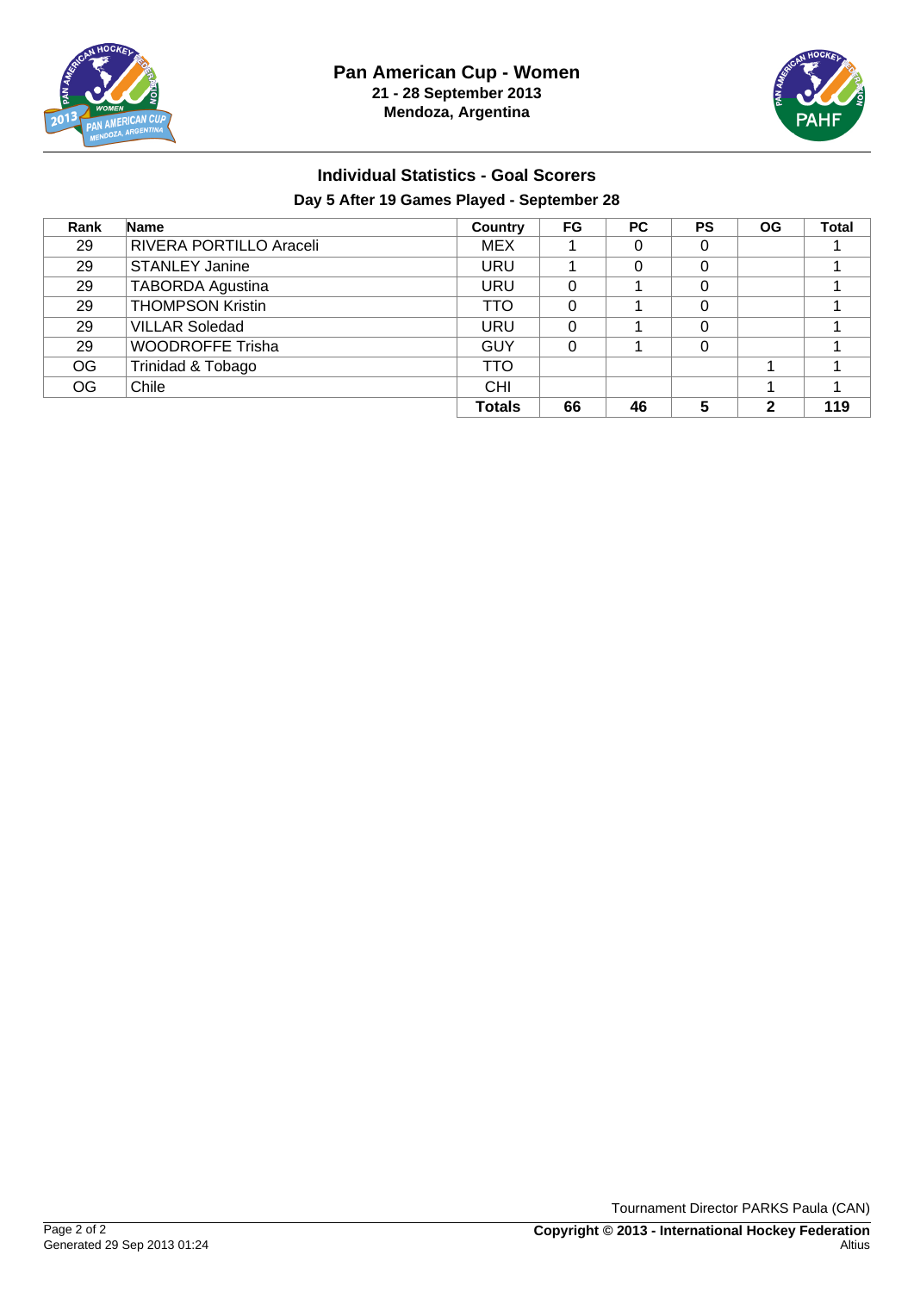



## **Individual Statistics - Goal Scorers Day 5 After 19 Games Played - September 28**

| Rank      | <b>Name</b>             | Country       | <b>FG</b> | <b>PC</b> | <b>PS</b> | <b>OG</b> | <b>Total</b> |
|-----------|-------------------------|---------------|-----------|-----------|-----------|-----------|--------------|
| 29        | RIVERA PORTILLO Araceli | <b>MEX</b>    |           | 0         | 0         |           |              |
| 29        | <b>STANLEY Janine</b>   | URU           |           | 0         | 0         |           |              |
| 29        | <b>TABORDA Agustina</b> | URU           | 0         |           | 0         |           |              |
| 29        | <b>THOMPSON Kristin</b> | TTO           | 0         |           | 0         |           |              |
| 29        | <b>VILLAR Soledad</b>   | URU           | $\Omega$  |           | 0         |           |              |
| 29        | <b>WOODROFFE Trisha</b> | GUY           | 0         |           | 0         |           |              |
| OG        | Trinidad & Tobago       | <b>TTO</b>    |           |           |           |           |              |
| <b>OG</b> | Chile                   | <b>CHI</b>    |           |           |           |           |              |
|           |                         | <b>Totals</b> | 66        | 46        | 5         | 2         | 119          |